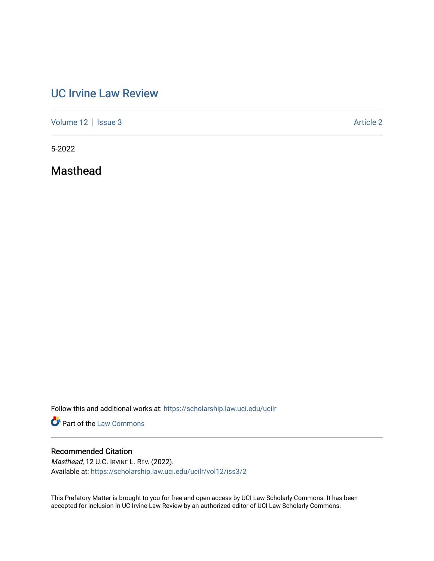## [UC Irvine Law Review](https://scholarship.law.uci.edu/ucilr)

[Volume 12](https://scholarship.law.uci.edu/ucilr/vol12) | [Issue 3](https://scholarship.law.uci.edu/ucilr/vol12/iss3) Article 2

5-2022

Masthead

Follow this and additional works at: [https://scholarship.law.uci.edu/ucilr](https://scholarship.law.uci.edu/ucilr?utm_source=scholarship.law.uci.edu%2Fucilr%2Fvol12%2Fiss3%2F2&utm_medium=PDF&utm_campaign=PDFCoverPages)

**Part of the [Law Commons](https://network.bepress.com/hgg/discipline/578?utm_source=scholarship.law.uci.edu%2Fucilr%2Fvol12%2Fiss3%2F2&utm_medium=PDF&utm_campaign=PDFCoverPages)** 

## Recommended Citation

Masthead, 12 U.C. IRVINE L. REV. (2022). Available at: [https://scholarship.law.uci.edu/ucilr/vol12/iss3/2](https://scholarship.law.uci.edu/ucilr/vol12/iss3/2?utm_source=scholarship.law.uci.edu%2Fucilr%2Fvol12%2Fiss3%2F2&utm_medium=PDF&utm_campaign=PDFCoverPages) 

This Prefatory Matter is brought to you for free and open access by UCI Law Scholarly Commons. It has been accepted for inclusion in UC Irvine Law Review by an authorized editor of UCI Law Scholarly Commons.